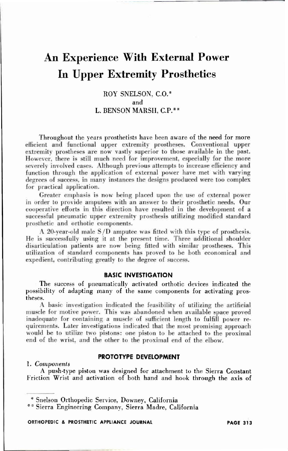# **An Experience With External Power In Upper Extremity Prosthetics**

# ROY SNELSON, C.O.\* and L. BENSON MARSH, C.P.\*\*

Throughout the years prosthetists have been aware of the need for more efficient and functional upper extremity prostheses. Conventional upper extremity prostheses are now vastly superior to those available in the past. However, there is still much need for improvement, especially for the more severely involved eases. Although previous attempts to increase efficiency and function through the application of external power have met with varying degrees of success, in many instances the designs produced were too complex for practical application.

Greater emphasis is now being placed upon the use of external power in order to provide amputees with an answer to their prosthetic needs. Our cooperative efforts in this direction have resulted in the development of a successful pneumatic upper extremity prosthesis utilizing modified standard prosthetic and orthotic components.

A 20-year-old male S/D amputee was fitted with this type of prosthesis. He is successfully using it at the present time. Three additional shoulder disarticulation patients are now being fitted with similar prostheses. This utilization of standard components has proved to be both economical and expedient, contributing greatly to the degree of success.

## **BASIC INVESTIGATION**

The success of pneumatically activated orthotic devices indicated the possibility of adapting many of the same components for activating prostheses.

A basic investigation indicated the feasibility of utilizing the artificial muscle for motive power. This was abandoned when available space proved inadequate for containing a muscle of sufficient length to fulfill power requirements. Later investigations indicated that the most promising approach would be to utilize two pistons: one piston to be attached to the proximal end of the wrist, and the other to the proximal end of the elbow.

## **PROTOTYPE DEVELOPMENT**

#### 1. *Components*

A push-type piston was designed for attachment to the Sierra Constant Friction Wrist and activation of both hand and hook through the axis of

\* Snelson Orthopedic Service, Downey, California

\*\* Sierra Engineering Company, Sierra Madre, California

ORTHOPEDIC & PROSTHETIC APPLIANCE JOURNAL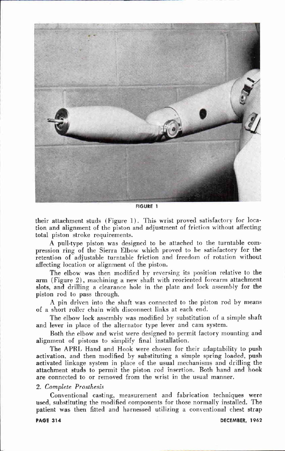

**FIGURE 1** 

their attachment studs (Figure 1). This wrist proved satisfactory for location and alignment of the piston and adjustment of friction without affecting total piston stroke requirements.

A pull-type piston was designed to be attached to the turntable compression ring of the Sierra Elbow which proved to be satisfactory for the retention of adjustable turntable friction and freedom of rotation without affecting location or alignment of the piston.

The elbow was then modified by reversing its position relative to the arm (Figure 2), machining a new shaft with reoriented forearm attachment slots, and drilling a clearance hole in the plate and lock assembly for the piston rod to pass through.

A pin driven into the shaft was connected to the piston rod by means of a short roller chain with disconnect links at each end.

The elbow lock assembly was modified by substitution of a simple shaft and lever in place of the alternator type lever and cam system.

Both the elbow and wrist were designed to permit factory mounting and alignment of pistons to simplify final installation.

The APRL Hand and Hook were chosen for their adaptability to push activation, and then modified by substituting a simple spring loaded, push activated linkage system in place of the usual mechanisms and drilling the attachment studs to permit the piston rod insertion. Both hand and hook are connected to or removed from the wrist in the usual manner.

#### 2. *Complete Prosthesis*

Conventional casting, measurement and fabrication techniques were used, substituting the modified components for those normally installed. The patient was then fitted and harnessed utilizing a conventional chest strap

#### **PAGE 314**

DECEMBER, 1962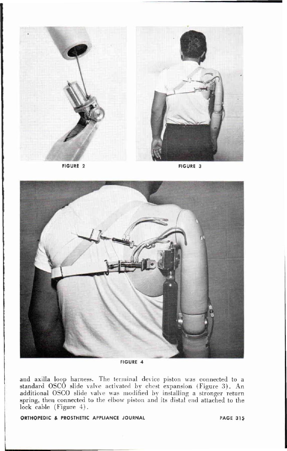



**FIGURE 4** 

and axilla loop harness. The terminal device piston was connected to a standard OSCO slide valve activated by chest expansion (Figure 3). An additional OSCO slide valve was modified by installing a stronger return spring, then connected to the elbow piston and its distal end attached to the lock cable (Figure 4).

ORTHOPEDIC & PROSTHETIC APPLIANCE JOURNAL

**PAGE 315**